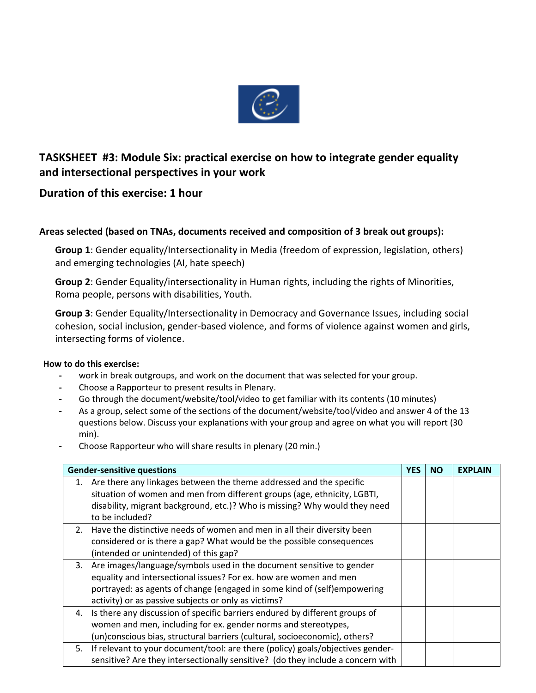

## **TASKSHEET #3: Module Six: practical exercise on how to integrate gender equality and intersectional perspectives in your work**

## **Duration of this exercise: 1 hour**

## **Areas selected (based on TNAs, documents received and composition of 3 break out groups):**

**Group 1**: Gender equality/Intersectionality in Media (freedom of expression, legislation, others) and emerging technologies (AI, hate speech)

**Group 2**: Gender Equality/intersectionality in Human rights, including the rights of Minorities, Roma people, persons with disabilities, Youth.

**Group 3**: Gender Equality/Intersectionality in Democracy and Governance Issues, including social cohesion, social inclusion, gender-based violence, and forms of violence against women and girls, intersecting forms of violence.

## **How to do this exercise:**

- **-** work in break outgroups, and work on the document that was selected for your group.
- **-** Choose a Rapporteur to present results in Plenary.
- **-** Go through the document/website/tool/video to get familiar with its contents (10 minutes)
- **-** As a group, select some of the sections of the document/website/tool/video and answer 4 of the 13 questions below. Discuss your explanations with your group and agree on what you will report (30 min).
- **-** Choose Rapporteur who will share results in plenary (20 min.)

| <b>Gender-sensitive questions</b> |                                                                                   | <b>YES</b> | <b>NO</b> | <b>EXPLAIN</b> |
|-----------------------------------|-----------------------------------------------------------------------------------|------------|-----------|----------------|
| 1.                                | Are there any linkages between the theme addressed and the specific               |            |           |                |
|                                   | situation of women and men from different groups (age, ethnicity, LGBTI,          |            |           |                |
|                                   | disability, migrant background, etc.)? Who is missing? Why would they need        |            |           |                |
|                                   | to be included?                                                                   |            |           |                |
|                                   | 2. Have the distinctive needs of women and men in all their diversity been        |            |           |                |
|                                   | considered or is there a gap? What would be the possible consequences             |            |           |                |
|                                   | (intended or unintended) of this gap?                                             |            |           |                |
| 3.                                | Are images/language/symbols used in the document sensitive to gender              |            |           |                |
|                                   | equality and intersectional issues? For ex. how are women and men                 |            |           |                |
|                                   | portrayed: as agents of change (engaged in some kind of (self)empowering          |            |           |                |
|                                   | activity) or as passive subjects or only as victims?                              |            |           |                |
|                                   | 4. Is there any discussion of specific barriers endured by different groups of    |            |           |                |
|                                   | women and men, including for ex. gender norms and stereotypes,                    |            |           |                |
|                                   | (un) conscious bias, structural barriers (cultural, socioeconomic), others?       |            |           |                |
|                                   | 5. If relevant to your document/tool: are there (policy) goals/objectives gender- |            |           |                |
|                                   | sensitive? Are they intersectionally sensitive? (do they include a concern with   |            |           |                |